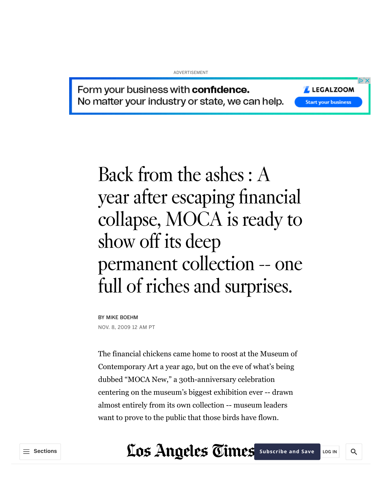#### ADVERTISEMENT

LEGALZOOM

**Start your business** 

Q

Form your business with confidence. No matter your industry or state, we can help.

> Back from the ashes : A year after escaping financial collapse, MOCA is ready to show off its deep permanent collection -- one full of riches and surprises.

BY MIKE BOEHM NOV. 8, 2009 12 AM PT

The financial chickens came home to roost at the Museum of Contemporary Art a year ago, but on the eve of what's being dubbed "MOCA New," a 30th-anniversary celebration centering on the museum's biggest exhibition ever -- drawn almost entirely from its own collection -- museum leaders want to prove to the public that those birds have flown.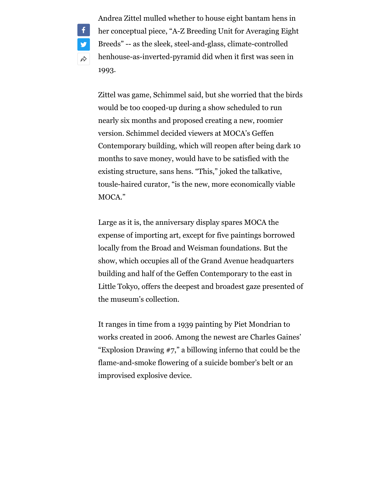Andrea Zittel mulled whether to house eight bantam hens in her conceptual piece, "A-Z Breeding Unit for Averaging Eight Breeds" -- as the sleek, steel-and-glass, climate-controlled henhouse-as-inverted-pyramid did when it first was seen in 1993.

 $\mathbf{f}$ 

**y** 

 $\overrightarrow{\tau}$ 

Zittel was game, Schimmel said, but she worried that the birds would be too cooped-up during a show scheduled to run nearly six months and proposed creating a new, roomier version. Schimmel decided viewers at MOCA's Geffen Contemporary building, which will reopen after being dark 10 months to save money, would have to be satisfied with the existing structure, sans hens. "This," joked the talkative, tousle-haired curator, "is the new, more economically viable MOCA."

Large as it is, the anniversary display spares MOCA the expense of importing art, except for five paintings borrowed locally from the Broad and Weisman foundations. But the show, which occupies all of the Grand Avenue headquarters building and half of the Geffen Contemporary to the east in Little Tokyo, offers the deepest and broadest gaze presented of the museum's collection.

It ranges in time from a 1939 painting by Piet Mondrian to works created in 2006. Among the newest are Charles Gaines' "Explosion Drawing #7," a billowing inferno that could be the flame-and-smoke flowering of a suicide bomber's belt or an improvised explosive device.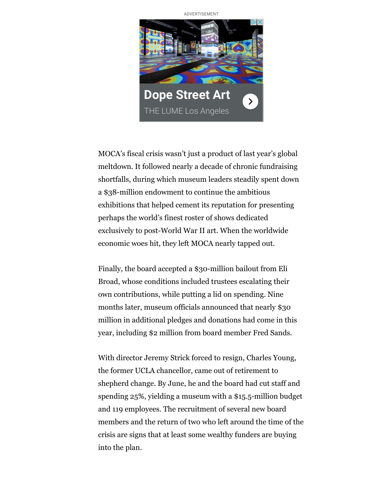ADVERTISEMENT



MOCA's fiscal crisis wasn't just a product of last year's global meltdown. It followed nearly a decade of chronic fundraising shortfalls, during which museum leaders steadily spent down a \$38-million endowment to continue the ambitious exhibitions that helped cement its reputation for presenting perhaps the world's finest roster of shows dedicated exclusively to post-World War II art. When the worldwide economic woes hit, they left MOCA nearly tapped out.

Finally, the board accepted a \$30-million bailout from Eli Broad, whose conditions included trustees escalating their own contributions, while putting a lid on spending. Nine months later, museum officials announced that nearly \$30 million in additional pledges and donations had come in this year, including \$2 million from board member Fred Sands.

With director Jeremy Strick forced to resign, Charles Young, the former UCLA chancellor, came out of retirement to shepherd change. By June, he and the board had cut staff and spending 25%, yielding a museum with a \$15.5-million budget and 119 employees. The recruitment of several new board members and the return of two who left around the time of the crisis are signs that at least some wealthy funders are buying into the plan.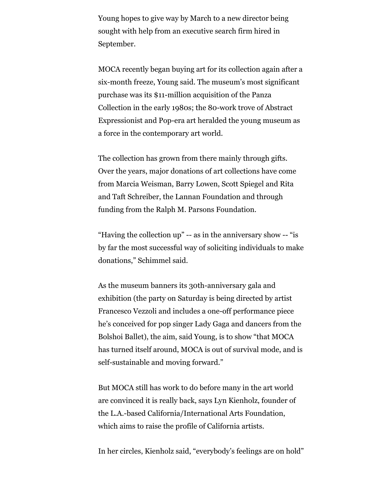Young hopes to give way by March to a new director being sought with help from an executive search firm hired in September.

MOCA recently began buying art for its collection again after a six-month freeze, Young said. The museum's most significant purchase was its \$11-million acquisition of the Panza Collection in the early 1980s; the 80-work trove of Abstract Expressionist and Pop-era art heralded the young museum as a force in the contemporary art world.

The collection has grown from there mainly through gifts. Over the years, major donations of art collections have come from Marcia Weisman, Barry Lowen, Scott Spiegel and Rita and Taft Schreiber, the Lannan Foundation and through funding from the Ralph M. Parsons Foundation.

"Having the collection up" -- as in the anniversary show -- "is by far the most successful way of soliciting individuals to make donations," Schimmel said.

As the museum banners its 30th-anniversary gala and exhibition (the party on Saturday is being directed by artist Francesco Vezzoli and includes a one-off performance piece he's conceived for pop singer Lady Gaga and dancers from the Bolshoi Ballet), the aim, said Young, is to show "that MOCA has turned itself around, MOCA is out of survival mode, and is self-sustainable and moving forward."

But MOCA still has work to do before many in the art world are convinced it is really back, says Lyn Kienholz, founder of the L.A.-based California/International Arts Foundation, which aims to raise the profile of California artists.

In her circles, Kienholz said, "everybody's feelings are on hold"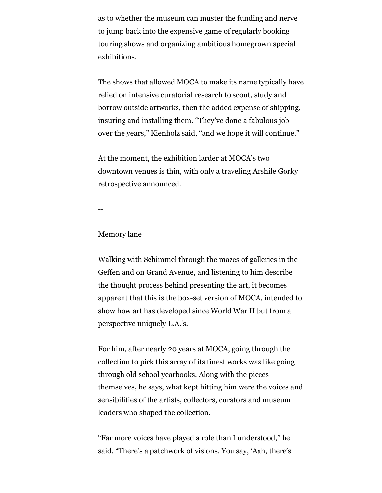as to whether the museum can muster the funding and nerve to jump back into the expensive game of regularly booking touring shows and organizing ambitious homegrown special exhibitions.

The shows that allowed MOCA to make its name typically have relied on intensive curatorial research to scout, study and borrow outside artworks, then the added expense of shipping, insuring and installing them. "They've done a fabulous job over the years," Kienholz said, "and we hope it will continue."

At the moment, the exhibition larder at MOCA's two downtown venues is thin, with only a traveling Arshile Gorky retrospective announced.

--

## Memory lane

Walking with Schimmel through the mazes of galleries in the Geffen and on Grand Avenue, and listening to him describe the thought process behind presenting the art, it becomes apparent that this is the box-set version of MOCA, intended to show how art has developed since World War II but from a perspective uniquely L.A.'s.

For him, after nearly 20 years at MOCA, going through the collection to pick this array of its finest works was like going through old school yearbooks. Along with the pieces themselves, he says, what kept hitting him were the voices and sensibilities of the artists, collectors, curators and museum leaders who shaped the collection.

"Far more voices have played a role than I understood," he said. "There's a patchwork of visions. You say, 'Aah, there's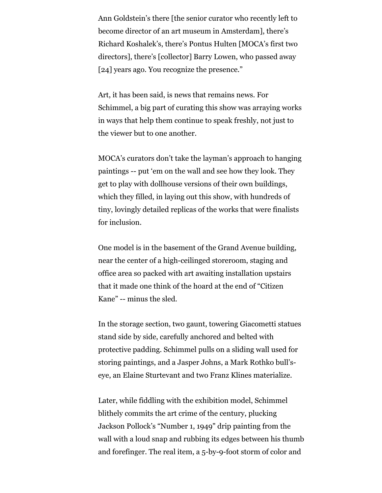Ann Goldstein's there [the senior curator who recently left to become director of an art museum in Amsterdam], there's Richard Koshalek's, there's Pontus Hulten [MOCA's first two directors], there's [collector] Barry Lowen, who passed away [24] years ago. You recognize the presence."

Art, it has been said, is news that remains news. For Schimmel, a big part of curating this show was arraying works in ways that help them continue to speak freshly, not just to the viewer but to one another.

MOCA's curators don't take the layman's approach to hanging paintings -- put 'em on the wall and see how they look. They get to play with dollhouse versions of their own buildings, which they filled, in laying out this show, with hundreds of tiny, lovingly detailed replicas of the works that were finalists for inclusion.

One model is in the basement of the Grand Avenue building, near the center of a high-ceilinged storeroom, staging and office area so packed with art awaiting installation upstairs that it made one think of the hoard at the end of "Citizen Kane" -- minus the sled.

In the storage section, two gaunt, towering Giacometti statues stand side by side, carefully anchored and belted with protective padding. Schimmel pulls on a sliding wall used for storing paintings, and a Jasper Johns, a Mark Rothko bull'seye, an Elaine Sturtevant and two Franz Klines materialize.

Later, while fiddling with the exhibition model, Schimmel blithely commits the art crime of the century, plucking Jackson Pollock's "Number 1, 1949" drip painting from the wall with a loud snap and rubbing its edges between his thumb and forefinger. The real item, a 5-by-9-foot storm of color and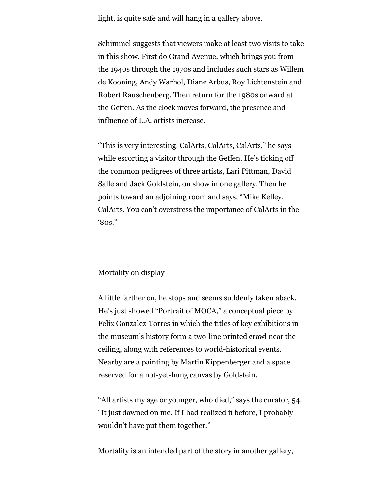light, is quite safe and will hang in a gallery above.

Schimmel suggests that viewers make at least two visits to take in this show. First do Grand Avenue, which brings you from the 1940s through the 1970s and includes such stars as Willem de Kooning, Andy Warhol, Diane Arbus, Roy Lichtenstein and Robert Rauschenberg. Then return for the 1980s onward at the Geffen. As the clock moves forward, the presence and influence of L.A. artists increase.

"This is very interesting. CalArts, CalArts, CalArts," he says while escorting a visitor through the Geffen. He's ticking off the common pedigrees of three artists, Lari Pittman, David Salle and Jack Goldstein, on show in one gallery. Then he points toward an adjoining room and says, "Mike Kelley, CalArts. You can't overstress the importance of CalArts in the '80s."

--

### Mortality on display

A little farther on, he stops and seems suddenly taken aback. He's just showed "Portrait of MOCA," a conceptual piece by Felix Gonzalez-Torres in which the titles of key exhibitions in the museum's history form a two-line printed crawl near the ceiling, along with references to world-historical events. Nearby are a painting by Martin Kippenberger and a space reserved for a not-yet-hung canvas by Goldstein.

"All artists my age or younger, who died," says the curator, 54. "It just dawned on me. If I had realized it before, I probably wouldn't have put them together."

Mortality is an intended part of the story in another gallery,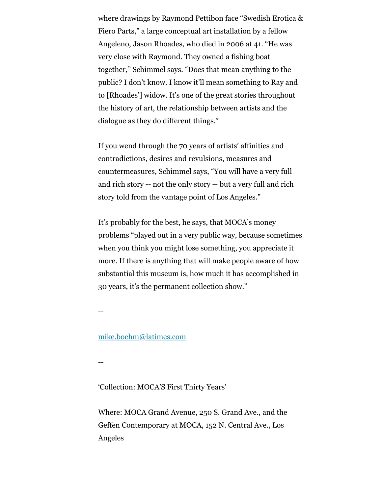where drawings by Raymond Pettibon face "Swedish Erotica & Fiero Parts," a large conceptual art installation by a fellow Angeleno, Jason Rhoades, who died in 2006 at 41. "He was very close with Raymond. They owned a fishing boat together," Schimmel says. "Does that mean anything to the public? I don't know. I know it'll mean something to Ray and to [Rhoades'] widow. It's one of the great stories throughout the history of art, the relationship between artists and the dialogue as they do different things."

If you wend through the 70 years of artists' affinities and contradictions, desires and revulsions, measures and countermeasures, Schimmel says, "You will have a very full and rich story -- not the only story -- but a very full and rich story told from the vantage point of Los Angeles."

It's probably for the best, he says, that MOCA's money problems "played out in a very public way, because sometimes when you think you might lose something, you appreciate it more. If there is anything that will make people aware of how substantial this museum is, how much it has accomplished in 30 years, it's the permanent collection show."

--

# [mike.boehm@latimes.com](mailto:mike.boehm@latimes.com)

--

# 'Collection: MOCA'S First Thirty Years'

Where: MOCA Grand Avenue, 250 S. Grand Ave., and the Geffen Contemporary at MOCA, 152 N. Central Ave., Los Angeles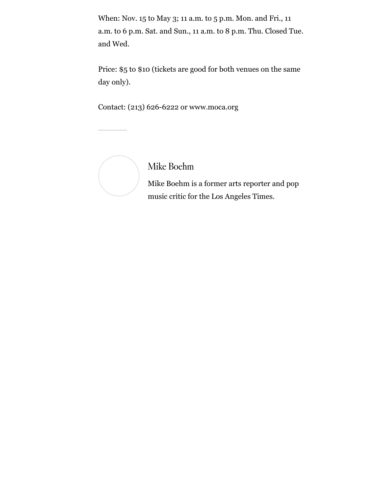When: Nov. 15 to May 3; 11 a.m. to 5 p.m. Mon. and Fri., 11 a.m. to 6 p.m. Sat. and Sun., 11 a.m. to 8 p.m. Thu. Closed Tue. and Wed.

Price: \$5 to \$10 (tickets are good for both venues on the same day only).

Contact: (213) 626-6222 or www.moca.org



[Mike Boehm](https://www.latimes.com/la-bio-mike-boehm-staff.html)

Mike Boehm is a former arts reporter and pop music critic for the Los Angeles Times.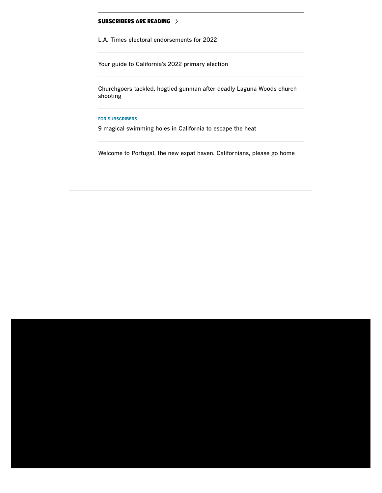### [SUBSCRIBERS ARE READING](https://www.latimes.com/topic/for-la-times-subscribers)

[L.A. Times electoral endorsements for 2022](https://www.latimes.com/opinion/story/2022-04-27/complete-list-of-los-angeles-times-elections-endorsements-2022)

[Your guide to California's 2022 primary election](https://www.latimes.com/california/story/2022-05-09/your-guide-to-californias-2022-primary-election)

[Churchgoers tackled, hogtied gunman after deadly Laguna Woods church](https://www.latimes.com/california/story/2022-05-15/multiple-people-shot-at-church-in-laguna-woods-o-c-sheriff-says) shooting

#### **[FOR SUBSCRIBERS](https://www.latimes.com/topic/for-la-times-subscribers)**

[9 magical swimming holes in California to escape the heat](https://www.latimes.com/travel/list/swimming-holes-california-beat-the-heat)

[Welcome to Portugal, the new expat haven. Californians, please go home](https://www.latimes.com/world-nation/story/2022-05-12/california-expats-portugal-relocation-lisbon)